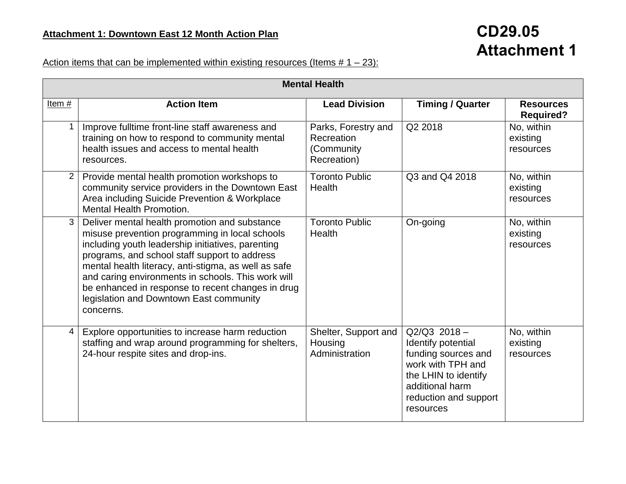## **CD29.05 Attachment 1**

## Action items that can be implemented within existing resources (Items  $# 1 - 23$ ):

|                | <b>Mental Health</b>                                                                                                                                                                                                                                                                                                                                                                                                             |                                                                |                                                                                                                                                                   |                                      |  |
|----------------|----------------------------------------------------------------------------------------------------------------------------------------------------------------------------------------------------------------------------------------------------------------------------------------------------------------------------------------------------------------------------------------------------------------------------------|----------------------------------------------------------------|-------------------------------------------------------------------------------------------------------------------------------------------------------------------|--------------------------------------|--|
| Item $#$       | <b>Action Item</b>                                                                                                                                                                                                                                                                                                                                                                                                               | <b>Lead Division</b>                                           | <b>Timing / Quarter</b>                                                                                                                                           | <b>Resources</b><br><b>Required?</b> |  |
| $\mathbf 1$    | Improve fulltime front-line staff awareness and<br>training on how to respond to community mental<br>health issues and access to mental health<br>resources.                                                                                                                                                                                                                                                                     | Parks, Forestry and<br>Recreation<br>(Community<br>Recreation) | Q2 2018                                                                                                                                                           | No, within<br>existing<br>resources  |  |
| $\overline{2}$ | Provide mental health promotion workshops to<br>community service providers in the Downtown East<br>Area including Suicide Prevention & Workplace<br><b>Mental Health Promotion.</b>                                                                                                                                                                                                                                             | <b>Toronto Public</b><br><b>Health</b>                         | Q3 and Q4 2018                                                                                                                                                    | No, within<br>existing<br>resources  |  |
| $\mathbf{3}$   | Deliver mental health promotion and substance<br>misuse prevention programming in local schools<br>including youth leadership initiatives, parenting<br>programs, and school staff support to address<br>mental health literacy, anti-stigma, as well as safe<br>and caring environments in schools. This work will<br>be enhanced in response to recent changes in drug<br>legislation and Downtown East community<br>concerns. | <b>Toronto Public</b><br><b>Health</b>                         | On-going                                                                                                                                                          | No, within<br>existing<br>resources  |  |
| 4              | Explore opportunities to increase harm reduction<br>staffing and wrap around programming for shelters,<br>24-hour respite sites and drop-ins.                                                                                                                                                                                                                                                                                    | Shelter, Support and<br>Housing<br>Administration              | $Q2/Q3$ 2018 -<br>Identify potential<br>funding sources and<br>work with TPH and<br>the LHIN to identify<br>additional harm<br>reduction and support<br>resources | No, within<br>existing<br>resources  |  |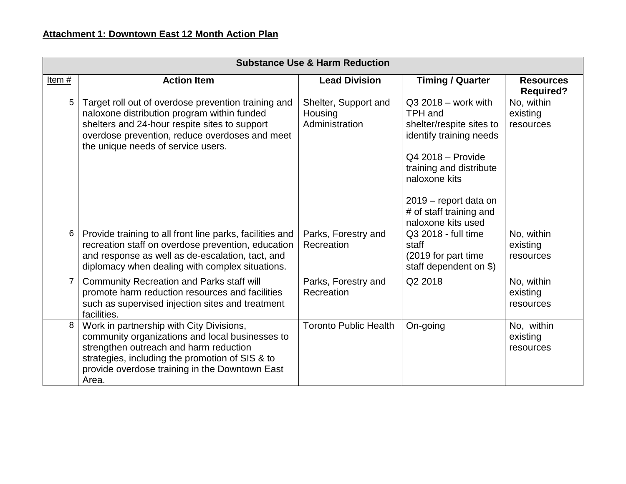|                | <b>Substance Use &amp; Harm Reduction</b>                                                                                                                                                                                                           |                                                   |                                                                                                                                                                                                                                    |                                      |  |
|----------------|-----------------------------------------------------------------------------------------------------------------------------------------------------------------------------------------------------------------------------------------------------|---------------------------------------------------|------------------------------------------------------------------------------------------------------------------------------------------------------------------------------------------------------------------------------------|--------------------------------------|--|
| Item#          | <b>Action Item</b>                                                                                                                                                                                                                                  | <b>Lead Division</b>                              | <b>Timing / Quarter</b>                                                                                                                                                                                                            | <b>Resources</b><br><b>Required?</b> |  |
| 5              | Target roll out of overdose prevention training and<br>naloxone distribution program within funded<br>shelters and 24-hour respite sites to support<br>overdose prevention, reduce overdoses and meet<br>the unique needs of service users.         | Shelter, Support and<br>Housing<br>Administration | $Q32018 - work$ with<br>TPH and<br>shelter/respite sites to<br>identify training needs<br>$Q42018 -$ Provide<br>training and distribute<br>naloxone kits<br>2019 - report data on<br># of staff training and<br>naloxone kits used | No, within<br>existing<br>resources  |  |
| 6              | Provide training to all front line parks, facilities and<br>recreation staff on overdose prevention, education<br>and response as well as de-escalation, tact, and<br>diplomacy when dealing with complex situations.                               | Parks, Forestry and<br>Recreation                 | Q3 2018 - full time<br>staff<br>(2019 for part time<br>staff dependent on \$)                                                                                                                                                      | No, within<br>existing<br>resources  |  |
| $\overline{7}$ | <b>Community Recreation and Parks staff will</b><br>promote harm reduction resources and facilities<br>such as supervised injection sites and treatment<br>facilities.                                                                              | Parks, Forestry and<br>Recreation                 | Q2 2018                                                                                                                                                                                                                            | No, within<br>existing<br>resources  |  |
| 8              | Work in partnership with City Divisions,<br>community organizations and local businesses to<br>strengthen outreach and harm reduction<br>strategies, including the promotion of SIS & to<br>provide overdose training in the Downtown East<br>Area. | <b>Toronto Public Health</b>                      | On-going                                                                                                                                                                                                                           | No, within<br>existing<br>resources  |  |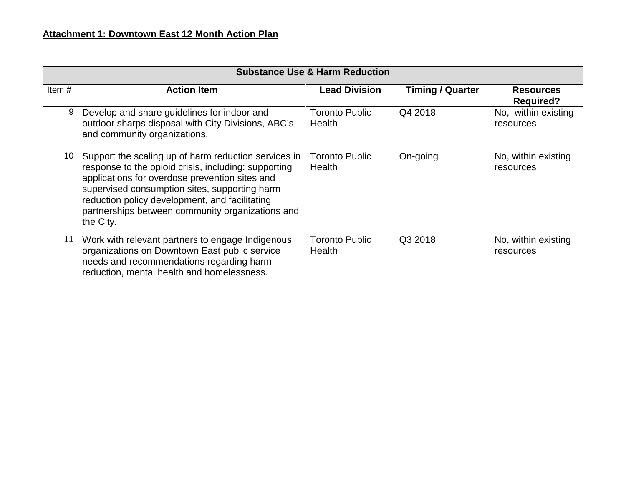|                 | <b>Substance Use &amp; Harm Reduction</b>                                                                                                                                                                                                                                                                                          |                                        |                         |                                      |  |
|-----------------|------------------------------------------------------------------------------------------------------------------------------------------------------------------------------------------------------------------------------------------------------------------------------------------------------------------------------------|----------------------------------------|-------------------------|--------------------------------------|--|
| Item#           | <b>Action Item</b>                                                                                                                                                                                                                                                                                                                 | <b>Lead Division</b>                   | <b>Timing / Quarter</b> | <b>Resources</b><br><b>Required?</b> |  |
| 9               | Develop and share guidelines for indoor and<br>outdoor sharps disposal with City Divisions, ABC's<br>and community organizations.                                                                                                                                                                                                  | <b>Toronto Public</b><br>Health        | Q4 2018                 | No, within existing<br>resources     |  |
| 10 <sup>°</sup> | Support the scaling up of harm reduction services in<br>response to the opioid crisis, including: supporting<br>applications for overdose prevention sites and<br>supervised consumption sites, supporting harm<br>reduction policy development, and facilitating<br>partnerships between community organizations and<br>the City. | <b>Toronto Public</b><br>Health        | On-going                | No, within existing<br>resources     |  |
| 11              | Work with relevant partners to engage Indigenous<br>organizations on Downtown East public service<br>needs and recommendations regarding harm<br>reduction, mental health and homelessness.                                                                                                                                        | <b>Toronto Public</b><br><b>Health</b> | Q3 2018                 | No, within existing<br>resources     |  |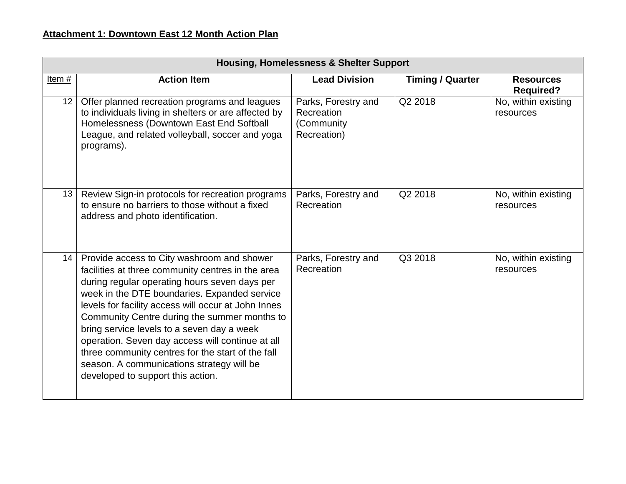|                 | <b>Housing, Homelessness &amp; Shelter Support</b>                                                                                                                                                                                                                                                                                                                                                                                                                                                                                               |                                                                |                         |                                      |
|-----------------|--------------------------------------------------------------------------------------------------------------------------------------------------------------------------------------------------------------------------------------------------------------------------------------------------------------------------------------------------------------------------------------------------------------------------------------------------------------------------------------------------------------------------------------------------|----------------------------------------------------------------|-------------------------|--------------------------------------|
| Item#           | <b>Action Item</b>                                                                                                                                                                                                                                                                                                                                                                                                                                                                                                                               | <b>Lead Division</b>                                           | <b>Timing / Quarter</b> | <b>Resources</b><br><b>Required?</b> |
| 12 <sub>1</sub> | Offer planned recreation programs and leagues<br>to individuals living in shelters or are affected by<br>Homelessness (Downtown East End Softball<br>League, and related volleyball, soccer and yoga<br>programs).                                                                                                                                                                                                                                                                                                                               | Parks, Forestry and<br>Recreation<br>(Community<br>Recreation) | Q2 2018                 | No, within existing<br>resources     |
| 13 <sup>1</sup> | Review Sign-in protocols for recreation programs<br>to ensure no barriers to those without a fixed<br>address and photo identification.                                                                                                                                                                                                                                                                                                                                                                                                          | Parks, Forestry and<br>Recreation                              | Q2 2018                 | No, within existing<br>resources     |
| 14 <sup>1</sup> | Provide access to City washroom and shower<br>facilities at three community centres in the area<br>during regular operating hours seven days per<br>week in the DTE boundaries. Expanded service<br>levels for facility access will occur at John Innes<br>Community Centre during the summer months to<br>bring service levels to a seven day a week<br>operation. Seven day access will continue at all<br>three community centres for the start of the fall<br>season. A communications strategy will be<br>developed to support this action. | Parks, Forestry and<br>Recreation                              | Q3 2018                 | No, within existing<br>resources     |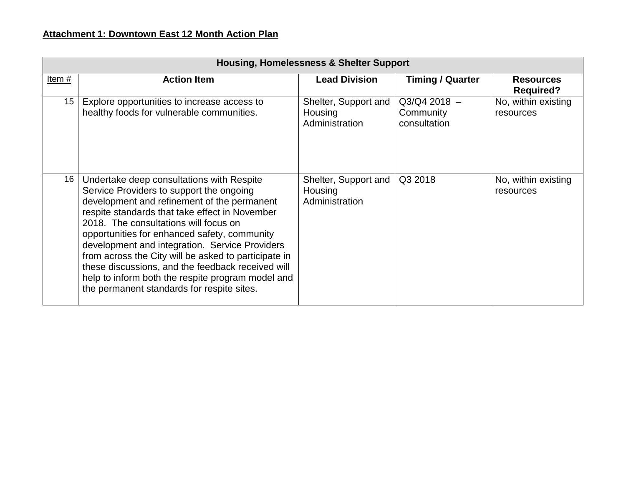## **Attachment 1: Downtown East 12 Month Action Plan**

|                  | <b>Housing, Homelessness &amp; Shelter Support</b>                                                                                                                                                                                                                                                                                                                                                                                                                                                                                                |                                                   |                                             |                                      |  |
|------------------|---------------------------------------------------------------------------------------------------------------------------------------------------------------------------------------------------------------------------------------------------------------------------------------------------------------------------------------------------------------------------------------------------------------------------------------------------------------------------------------------------------------------------------------------------|---------------------------------------------------|---------------------------------------------|--------------------------------------|--|
| Item#            | <b>Action Item</b>                                                                                                                                                                                                                                                                                                                                                                                                                                                                                                                                | <b>Lead Division</b>                              | <b>Timing / Quarter</b>                     | <b>Resources</b><br><b>Required?</b> |  |
| 15 <sup>15</sup> | Explore opportunities to increase access to<br>healthy foods for vulnerable communities.                                                                                                                                                                                                                                                                                                                                                                                                                                                          | Shelter, Support and<br>Housing<br>Administration | $Q3/Q4 2018 -$<br>Community<br>consultation | No, within existing<br>resources     |  |
| 16               | Undertake deep consultations with Respite<br>Service Providers to support the ongoing<br>development and refinement of the permanent<br>respite standards that take effect in November<br>2018. The consultations will focus on<br>opportunities for enhanced safety, community<br>development and integration. Service Providers<br>from across the City will be asked to participate in<br>these discussions, and the feedback received will<br>help to inform both the respite program model and<br>the permanent standards for respite sites. | Shelter, Support and<br>Housing<br>Administration | Q3 2018                                     | No, within existing<br>resources     |  |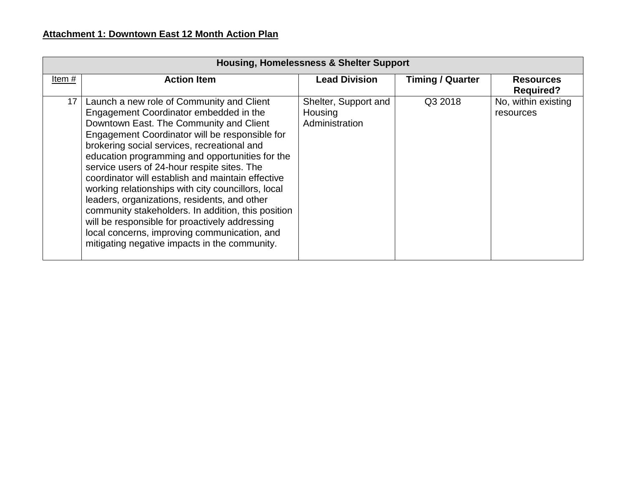|       | <b>Housing, Homelessness &amp; Shelter Support</b>                                                                                                                                                                                                                                                                                                                                                                                                                                                                                                                                                                                                                                                    |                                                   |                         |                                      |  |
|-------|-------------------------------------------------------------------------------------------------------------------------------------------------------------------------------------------------------------------------------------------------------------------------------------------------------------------------------------------------------------------------------------------------------------------------------------------------------------------------------------------------------------------------------------------------------------------------------------------------------------------------------------------------------------------------------------------------------|---------------------------------------------------|-------------------------|--------------------------------------|--|
| Item# | <b>Action Item</b>                                                                                                                                                                                                                                                                                                                                                                                                                                                                                                                                                                                                                                                                                    | <b>Lead Division</b>                              | <b>Timing / Quarter</b> | <b>Resources</b><br><b>Required?</b> |  |
| 17    | Launch a new role of Community and Client<br>Engagement Coordinator embedded in the<br>Downtown East. The Community and Client<br>Engagement Coordinator will be responsible for<br>brokering social services, recreational and<br>education programming and opportunities for the<br>service users of 24-hour respite sites. The<br>coordinator will establish and maintain effective<br>working relationships with city councillors, local<br>leaders, organizations, residents, and other<br>community stakeholders. In addition, this position<br>will be responsible for proactively addressing<br>local concerns, improving communication, and<br>mitigating negative impacts in the community. | Shelter, Support and<br>Housing<br>Administration | Q3 2018                 | No, within existing<br>resources     |  |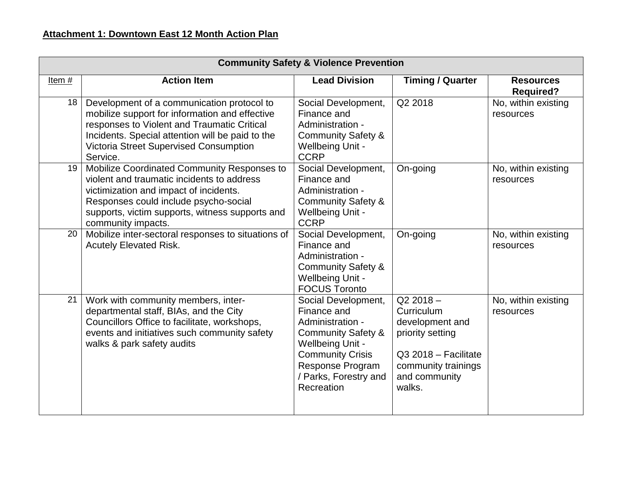|                 | <b>Community Safety &amp; Violence Prevention</b>                                                                                                                                                                                                            |                                                                                                                                                                                                          |                                                                                                                                           |                                      |
|-----------------|--------------------------------------------------------------------------------------------------------------------------------------------------------------------------------------------------------------------------------------------------------------|----------------------------------------------------------------------------------------------------------------------------------------------------------------------------------------------------------|-------------------------------------------------------------------------------------------------------------------------------------------|--------------------------------------|
| Item $#$        | <b>Action Item</b>                                                                                                                                                                                                                                           | <b>Lead Division</b>                                                                                                                                                                                     | <b>Timing / Quarter</b>                                                                                                                   | <b>Resources</b><br><b>Required?</b> |
| 18 <sup>°</sup> | Development of a communication protocol to<br>mobilize support for information and effective<br>responses to Violent and Traumatic Critical<br>Incidents. Special attention will be paid to the<br><b>Victoria Street Supervised Consumption</b><br>Service. | Social Development,<br>Finance and<br>Administration -<br><b>Community Safety &amp;</b><br><b>Wellbeing Unit -</b><br><b>CCRP</b>                                                                        | Q2 2018                                                                                                                                   | No, within existing<br>resources     |
| 19              | Mobilize Coordinated Community Responses to<br>violent and traumatic incidents to address<br>victimization and impact of incidents.<br>Responses could include psycho-social<br>supports, victim supports, witness supports and<br>community impacts.        | Social Development,<br>Finance and<br>Administration -<br><b>Community Safety &amp;</b><br><b>Wellbeing Unit -</b><br><b>CCRP</b>                                                                        | On-going                                                                                                                                  | No, within existing<br>resources     |
| 20              | Mobilize inter-sectoral responses to situations of<br><b>Acutely Elevated Risk.</b>                                                                                                                                                                          | Social Development,<br>Finance and<br>Administration -<br><b>Community Safety &amp;</b><br><b>Wellbeing Unit -</b><br><b>FOCUS Toronto</b>                                                               | On-going                                                                                                                                  | No, within existing<br>resources     |
| 21              | Work with community members, inter-<br>departmental staff, BIAs, and the City<br>Councillors Office to facilitate, workshops,<br>events and initiatives such community safety<br>walks & park safety audits                                                  | Social Development,<br>Finance and<br>Administration -<br><b>Community Safety &amp;</b><br><b>Wellbeing Unit -</b><br><b>Community Crisis</b><br>Response Program<br>/ Parks, Forestry and<br>Recreation | $Q22018 -$<br>Curriculum<br>development and<br>priority setting<br>Q3 2018 - Facilitate<br>community trainings<br>and community<br>walks. | No, within existing<br>resources     |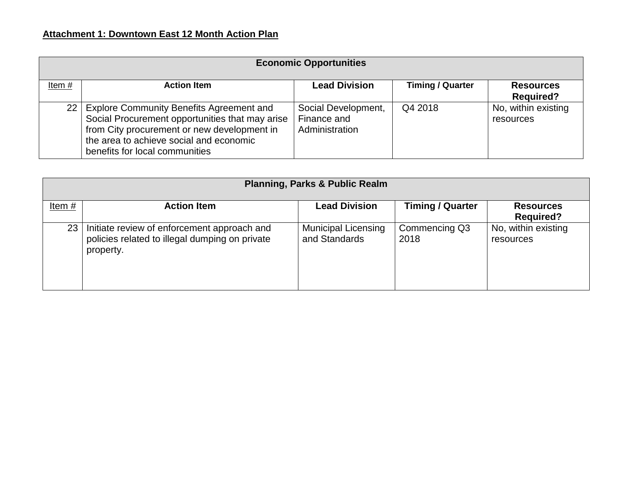| <b>Economic Opportunities</b> |                                                                                                                                                                                                                              |                                                      |                         |                                      |  |
|-------------------------------|------------------------------------------------------------------------------------------------------------------------------------------------------------------------------------------------------------------------------|------------------------------------------------------|-------------------------|--------------------------------------|--|
| Item $#$                      | <b>Action Item</b>                                                                                                                                                                                                           | <b>Lead Division</b>                                 | <b>Timing / Quarter</b> | <b>Resources</b><br><b>Required?</b> |  |
|                               | 22   Explore Community Benefits Agreement and<br>Social Procurement opportunities that may arise<br>from City procurement or new development in<br>the area to achieve social and economic<br>benefits for local communities | Social Development,<br>Finance and<br>Administration | Q4 2018                 | No, within existing<br>resources     |  |

|                 | <b>Planning, Parks &amp; Public Realm</b>                                                                  |                                             |                         |                                      |  |
|-----------------|------------------------------------------------------------------------------------------------------------|---------------------------------------------|-------------------------|--------------------------------------|--|
| Item $#$        | <b>Action Item</b>                                                                                         | <b>Lead Division</b>                        | <b>Timing / Quarter</b> | <b>Resources</b><br><b>Required?</b> |  |
| 23 <sup>1</sup> | Initiate review of enforcement approach and<br>policies related to illegal dumping on private<br>property. | <b>Municipal Licensing</b><br>and Standards | Commencing Q3<br>2018   | No, within existing<br>resources     |  |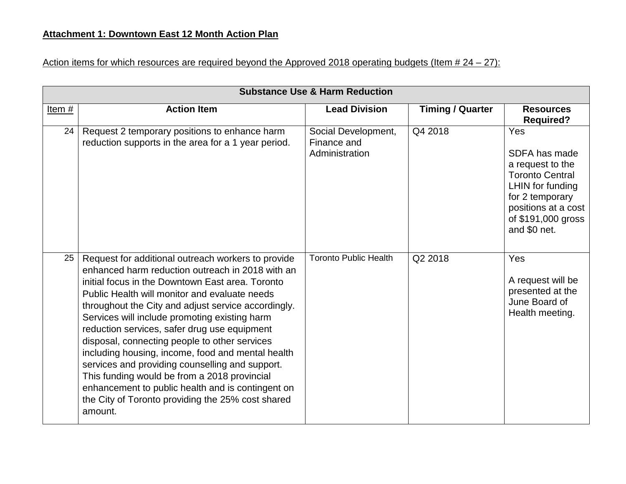## Action items for which resources are required beyond the Approved 2018 operating budgets (Item  $# 24 - 27$ ):

|       | <b>Substance Use &amp; Harm Reduction</b>                                                                                                                                                                                                                                                                                                                                                                                                                                                                                                                                                                                                                                                         |                                                      |                         |                                                                                                                                                                        |  |
|-------|---------------------------------------------------------------------------------------------------------------------------------------------------------------------------------------------------------------------------------------------------------------------------------------------------------------------------------------------------------------------------------------------------------------------------------------------------------------------------------------------------------------------------------------------------------------------------------------------------------------------------------------------------------------------------------------------------|------------------------------------------------------|-------------------------|------------------------------------------------------------------------------------------------------------------------------------------------------------------------|--|
| Item# | <b>Action Item</b>                                                                                                                                                                                                                                                                                                                                                                                                                                                                                                                                                                                                                                                                                | <b>Lead Division</b>                                 | <b>Timing / Quarter</b> | <b>Resources</b><br><b>Required?</b>                                                                                                                                   |  |
| 24    | Request 2 temporary positions to enhance harm<br>reduction supports in the area for a 1 year period.                                                                                                                                                                                                                                                                                                                                                                                                                                                                                                                                                                                              | Social Development,<br>Finance and<br>Administration | Q4 2018                 | Yes<br>SDFA has made<br>a request to the<br><b>Toronto Central</b><br>LHIN for funding<br>for 2 temporary<br>positions at a cost<br>of \$191,000 gross<br>and \$0 net. |  |
| 25    | Request for additional outreach workers to provide<br>enhanced harm reduction outreach in 2018 with an<br>initial focus in the Downtown East area. Toronto<br>Public Health will monitor and evaluate needs<br>throughout the City and adjust service accordingly.<br>Services will include promoting existing harm<br>reduction services, safer drug use equipment<br>disposal, connecting people to other services<br>including housing, income, food and mental health<br>services and providing counselling and support.<br>This funding would be from a 2018 provincial<br>enhancement to public health and is contingent on<br>the City of Toronto providing the 25% cost shared<br>amount. | <b>Toronto Public Health</b>                         | Q2 2018                 | Yes<br>A request will be<br>presented at the<br>June Board of<br>Health meeting.                                                                                       |  |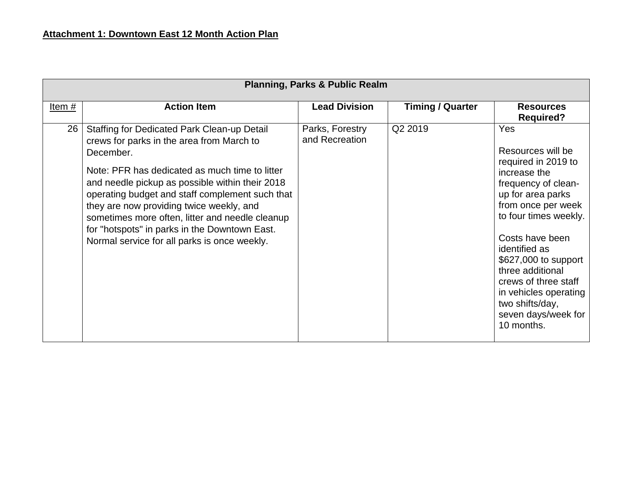|       | <b>Planning, Parks &amp; Public Realm</b>                                                                                                                                                                                                                                                                                                                                                                                                                     |                                   |                         |                                                                                                                                                                                                                                                                                                                                                     |  |
|-------|---------------------------------------------------------------------------------------------------------------------------------------------------------------------------------------------------------------------------------------------------------------------------------------------------------------------------------------------------------------------------------------------------------------------------------------------------------------|-----------------------------------|-------------------------|-----------------------------------------------------------------------------------------------------------------------------------------------------------------------------------------------------------------------------------------------------------------------------------------------------------------------------------------------------|--|
| Item# | <b>Action Item</b>                                                                                                                                                                                                                                                                                                                                                                                                                                            | <b>Lead Division</b>              | <b>Timing / Quarter</b> | <b>Resources</b><br><b>Required?</b>                                                                                                                                                                                                                                                                                                                |  |
| 26    | Staffing for Dedicated Park Clean-up Detail<br>crews for parks in the area from March to<br>December.<br>Note: PFR has dedicated as much time to litter<br>and needle pickup as possible within their 2018<br>operating budget and staff complement such that<br>they are now providing twice weekly, and<br>sometimes more often, litter and needle cleanup<br>for "hotspots" in parks in the Downtown East.<br>Normal service for all parks is once weekly. | Parks, Forestry<br>and Recreation | Q2 2019                 | Yes<br>Resources will be<br>required in 2019 to<br>increase the<br>frequency of clean-<br>up for area parks<br>from once per week<br>to four times weekly.<br>Costs have been<br>identified as<br>\$627,000 to support<br>three additional<br>crews of three staff<br>in vehicles operating<br>two shifts/day,<br>seven days/week for<br>10 months. |  |